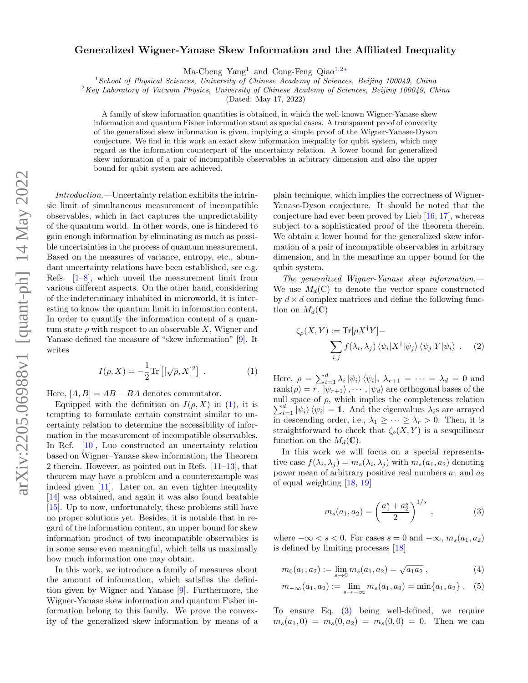## arXiv:2205.06988v1 [quant-ph] 14 May 2022 arXiv:2205.06988v1 [quant-ph] 14 May 2022

## Generalized Wigner-Yanase Skew Information and the Affiliated Inequality

Ma-Cheng Yang<sup>1</sup> and Cong-Feng Qiao<sup>1,2[∗](#page-4-0)</sup>

<sup>1</sup> School of Physical Sciences, University of Chinese Academy of Sciences, Beijing 100049, China

 $2$ Key Laboratory of Vacuum Physics, University of Chinese Academy of Sciences, Beijing 100049, China

(Dated: May 17, 2022)

A family of skew information quantities is obtained, in which the well-known Wigner-Yanase skew information and quantum Fisher information stand as special cases. A transparent proof of convexity of the generalized skew information is given, implying a simple proof of the Wigner-Yanase-Dyson conjecture. We find in this work an exact skew information inequality for qubit system, which may regard as the information counterpart of the uncertainty relation. A lower bound for generalized skew information of a pair of incompatible observables in arbitrary dimension and also the upper bound for qubit system are achieved.

Introduction.—Uncertainty relation exhibits the intrinsic limit of simultaneous measurement of incompatible observables, which in fact captures the unpredictability of the quantum world. In other words, one is hindered to gain enough information by eliminating as much as possible uncertainties in the process of quantum measurement. Based on the measures of variance, entropy, etc., abundant uncertainty relations have been established, see e.g. Refs.  $[1-8]$  $[1-8]$ , which unveil the measurement limit from various different aspects. On the other hand, considering of the indeterminacy inhabited in microworld, it is interesting to know the quantum limit in information content. In order to quantify the information content of a quantum state  $\rho$  with respect to an observable X, Wigner and Yanase defined the measure of "skew information" [\[9\]](#page-4-3). It writes

$$
I(\rho, X) = -\frac{1}{2} \text{Tr} \left[ [\sqrt{\rho}, X]^2 \right] . \tag{1}
$$

Here,  $[A, B] = AB - BA$  denotes commutator.

Equipped with the definition on  $I(\rho, X)$  in [\(1\)](#page-0-0), it is tempting to formulate certain constraint similar to uncertainty relation to determine the accessibility of information in the measurement of incompatible observables. In Ref. [\[10\]](#page-5-0), Luo constructed an uncertainty relation based on Wigner–Yanase skew information, the Theorem 2 therein. However, as pointed out in Refs.  $[11-13]$  $[11-13]$ , that theorem may have a problem and a counterexample was indeed given [\[11\]](#page-5-1). Later on, an even tighter inequality [\[14\]](#page-5-3) was obtained, and again it was also found beatable [\[15\]](#page-5-4). Up to now, unfortunately, these problems still have no proper solutions yet. Besides, it is notable that in regard of the information content, an upper bound for skew information product of two incompatible observables is in some sense even meaningful, which tells us maximally how much information one may obtain.

In this work, we introduce a family of measures about the amount of information, which satisfies the definition given by Wigner and Yanase [\[9\]](#page-4-3). Furthermore, the Wigner-Yanase skew information and quantum Fisher information belong to this family. We prove the convexity of the generalized skew information by means of a

plain technique, which implies the correctness of Wigner-Yanase-Dyson conjecture. It should be noted that the conjecture had ever been proved by Lieb [\[16,](#page-5-5) [17\]](#page-5-6), whereas subject to a sophisticated proof of the theorem therein. We obtain a lower bound for the generalized skew information of a pair of incompatible observables in arbitrary dimension, and in the meantime an upper bound for the qubit system.

The generalized Wigner-Yanase skew information.— We use  $M_d(\mathbb{C})$  to denote the vector space constructed by  $d \times d$  complex matrices and define the following function on  $M_d(\mathbb{C})$ 

$$
\zeta_{\rho}(X,Y) := \text{Tr}[\rho X^{\dagger}Y] - \sum_{i,j} f(\lambda_i, \lambda_j) \langle \psi_i | X^{\dagger} | \psi_j \rangle \langle \psi_j | Y | \psi_i \rangle . \tag{2}
$$

<span id="page-0-0"></span>Here,  $\rho = \sum_{i=1}^{d} \lambda_i |\psi_i\rangle \langle \psi_i |$ ,  $\lambda_{r+1} = \cdots = \lambda_d = 0$  and rank $(\rho) = r$ .  $|\psi_{r+1}\rangle$ ,  $\cdots$ ,  $|\psi_d\rangle$  are orthogonal bases of the null space of  $\rho$ , which implies the completeness relation  $\sum_{i=1}^{d} |\psi_i\rangle \langle \psi_i| = 1$ . And the eigenvalues  $\lambda_i$ s are arrayed in descending order, i.e.,  $\lambda_1 \geq \cdots \geq \lambda_r > 0$ . Then, it is straightforward to check that  $\zeta_{\rho}(X, Y)$  is a sesquilinear function on the  $M_d(\mathbb{C})$ .

In this work we will focus on a special representative case  $f(\lambda_i, \lambda_j) = m_s(\lambda_i, \lambda_j)$  with  $m_s(a_1, a_2)$  denoting power mean of arbitrary positive real numbers  $a_1$  and  $a_2$ of equal weighting [\[18,](#page-5-7) [19\]](#page-5-8)

<span id="page-0-1"></span>
$$
m_s(a_1, a_2) = \left(\frac{a_1^s + a_2^s}{2}\right)^{1/s}, \tag{3}
$$

where  $-\infty < s < 0$ . For cases  $s = 0$  and  $-\infty$ ,  $m_s(a_1, a_2)$ is defined by limiting processes [\[18\]](#page-5-7)

$$
m_0(a_1, a_2) := \lim_{s \to 0} m_s(a_1, a_2) = \sqrt{a_1 a_2} \,, \tag{4}
$$

$$
m_{-\infty}(a_1, a_2) := \lim_{s \to -\infty} m_s(a_1, a_2) = \min\{a_1, a_2\} .
$$
 (5)

To ensure Eq. [\(3\)](#page-0-1) being well-defined, we require  $m_s(a_1, 0) = m_s(0, a_2) = m_s(0, 0) = 0$ . Then we can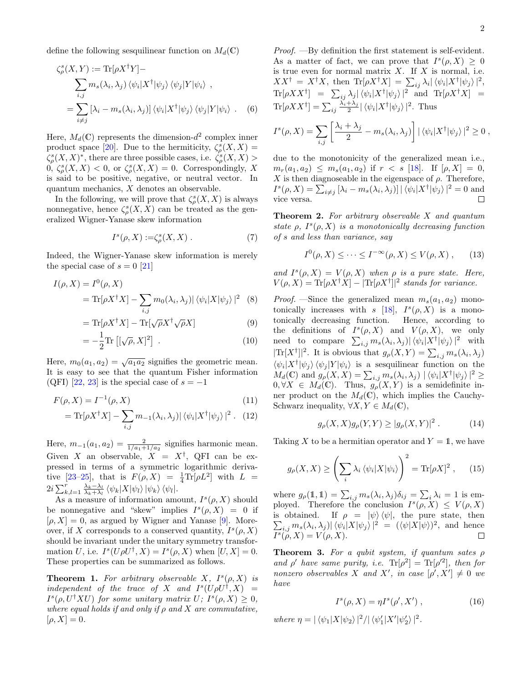define the following sesquilinear function on  $M_d(\mathbb{C})$ 

$$
\zeta_{\rho}^{s}(X, Y) := \text{Tr}[\rho X^{\dagger} Y] -
$$
\n
$$
\sum_{i,j} m_{s}(\lambda_{i}, \lambda_{j}) \langle \psi_{i} | X^{\dagger} | \psi_{j} \rangle \langle \psi_{j} | Y | \psi_{i} \rangle ,
$$
\n
$$
= \sum_{i \neq j} [\lambda_{i} - m_{s}(\lambda_{i}, \lambda_{j})] \langle \psi_{i} | X^{\dagger} | \psi_{j} \rangle \langle \psi_{j} | Y | \psi_{i} \rangle . \quad (6)
$$

Here,  $M_d(\mathbb{C})$  represents the dimension- $d^2$  complex inner product space [\[20\]](#page-5-9). Due to the hermiticity,  $\zeta_{\rho}^{s}(X, X) =$  $\zeta^s_{\rho}(X,X)^*$ , there are three possible cases, i.e.  $\zeta^s_{\rho}(X,X)$  $0, \zeta_{\rho}^{s}(X, X) < 0$ , or  $\zeta_{\rho}^{s}(X, X) = 0$ . Correspondingly, X is said to be positive, negative, or neutral vector. In quantum mechanics, X denotes an observable.

In the following, we will prove that  $\zeta_\rho^s(X,X)$  is always nonnegative, hence  $\zeta_{\rho}^{s}(X, X)$  can be treated as the generalized Wigner-Yanase skew information

$$
I^s(\rho, X) := \zeta^s_\rho(X, X) . \tag{7}
$$

Indeed, the Wigner-Yanase skew information is merely the special case of  $s = 0$  [\[21\]](#page-5-10)

$$
I(\rho, X) = I^0(\rho, X)
$$
  
= Tr[ $\rho X^{\dagger} X$ ] -  $\sum_{i,j}$  m<sub>0</sub>( $\lambda_i, \lambda_j$ )|  $\langle \psi_i | X | \psi_j \rangle$ |<sup>2</sup> (8)

$$
= \text{Tr}[\rho X^{\dagger} X] - \text{Tr}[\sqrt{\rho} X^{\dagger} \sqrt{\rho} X] \tag{9}
$$

$$
=-\frac{1}{2}\text{Tr}\left[[\sqrt{\rho},X]^2\right].\tag{10}
$$

Here,  $m_0(a_1, a_2) = \sqrt{a_1 a_2}$  signifies the geometric mean. It is easy to see that the quantum Fisher information (QFI) [\[22,](#page-5-11) [23\]](#page-5-12) is the special case of  $s = -1$ 

$$
F(\rho, X) = I^{-1}(\rho, X)
$$
\n(11)

$$
= \text{Tr}[\rho X^{\dagger} X] - \sum_{i,j} m_{-1}(\lambda_i, \lambda_j) | \langle \psi_i | X^{\dagger} | \psi_j \rangle |^2 . \tag{12}
$$

Here,  $m_{-1}(a_1, a_2) = \frac{2}{1/a_1 + 1/a_2}$  signifies harmonic mean. Given X an observable,  $X = X^{\dagger}$ , QFI can be expressed in terms of a symmetric logarithmic deriva-tive [23-[25\]](#page-5-13), that is  $F(\rho, X) = \frac{1}{4} \text{Tr}[\rho L^2]$  with  $L =$  $2i \sum_{k,l=1}^{r} \frac{\lambda_k - \lambda_l}{\lambda_k + \lambda_l} \langle \psi_k | X | \psi_l \rangle | \psi_k \rangle \langle \psi_l |.$ 

As a measure of information amount,  $I^s(\rho, X)$  should be nonnegative and "skew" implies  $I^s(\rho, X) = 0$  if  $[\rho, X] = 0$ , as argued by Wigner and Yanase [\[9\]](#page-4-3). Moreover, if X corresponds to a conserved quantity,  $I^s(\rho, X)$ should be invariant under the unitary symmetry transformation U, i.e.  $I^s(U\rho U^{\dagger}, X) = I^s(\rho, X)$  when  $[U, X] = 0$ . These properties can be summarized as follows.

<span id="page-1-0"></span>**Theorem 1.** For arbitrary observable X,  $I^s(\rho, X)$  is independent of the trace of X and  $I^s(U\rho U^{\dagger}, X)$  =  $I^{s}(\rho, U^{\dagger}XU)$  for some unitary matrix  $U; I^{s}(\rho, X) \geq 0$ , where equal holds if and only if  $\rho$  and  $X$  are commutative,  $[\rho, X] = 0.$ 

Proof. —By definition the first statement is self-evident. As a matter of fact, we can prove that  $I^s(\rho, X) \geq 0$ is true even for normal matrix  $X$ . If  $X$  is normal, i.e.  $XX^{\dagger} = X^{\dagger}X$ , then  $\text{Tr}[\rho X^{\dagger}X] = \sum_{ij} \lambda_i |\langle \psi_i | X^{\dagger} | \psi_j \rangle|^2$ ,  $\text{Tr}[\rho XX^{\dagger}] = \sum_{ij} \lambda_j |\langle \psi_i | X^{\dagger} | \psi_j \rangle|^2$  and  $\text{Tr}[\rho X^{\dagger} X] =$  $\text{Tr}[\rho XX^{\dagger}] = \sum_{ij} \frac{\lambda_i + \lambda_j}{2} |\langle \psi_i | X^{\dagger} | \psi_j \rangle|^2$ . Thus

<span id="page-1-3"></span>
$$
I^{s}(\rho, X) = \sum_{i,j} \left[ \frac{\lambda_i + \lambda_j}{2} - m_s(\lambda_i, \lambda_j) \right] |\langle \psi_i | X^{\dagger} | \psi_j \rangle|^2 \ge 0,
$$

due to the monotonicity of the generalized mean i.e.,  $m_r(a_1, a_2) \leq m_s(a_1, a_2)$  if  $r < s$  [\[18\]](#page-5-7). If  $[\rho, X] = 0$ , X is then diagnoseable in the eigenspace of  $\rho$ . Therefore,  $I^{s}(\rho, X) = \sum_{i \neq j} [\lambda_i - m_s(\lambda_i, \lambda_j)] | \langle \psi_i | X^{\dagger} | \psi_j \rangle |^2 = 0$  and vice versa.  $\Box$ 

<span id="page-1-1"></span>**Theorem 2.** For arbitrary observable  $X$  and quantum state  $\rho$ ,  $I^s(\rho, X)$  is a monotonically decreasing function of s and less than variance, say

$$
I^{0}(\rho, X) \leq \cdots \leq I^{-\infty}(\rho, X) \leq V(\rho, X), \qquad (13)
$$

and  $I^s(\rho, X) = V(\rho, X)$  when  $\rho$  is a pure state. Here,  $V(\rho, X) = \text{Tr}[\rho X^{\dagger} X] - |\text{Tr}[\rho X^{\dagger}]|^2$  stands for variance.

*Proof.* —Since the generalized mean  $m_s(a_1, a_2)$  monotonically increases with  $s$  [\[18\]](#page-5-7),  $I^s(\rho, X)$  is a monotonically decreasing function. Hence, according to the definitions of  $I^s(\rho, X)$  and  $V(\rho, X)$ , we only need to compare  $\sum_{i,j} m_s(\lambda_i, \lambda_j) |\langle \psi_i | X^{\dagger} | \psi_j \rangle|^2$  with  $|\text{Tr}[X^{\dagger}]|^2$ . It is obvious that  $g_{\rho}(X,Y) = \sum_{i,j} m_s(\lambda_i, \lambda_j)$  $\langle \psi_i | X^{\dagger} | \psi_j \rangle \langle \psi_j | Y | \psi_i \rangle$  is a sesquilinear function on the  $M_d(\mathbb{C})$  and  $g_\rho(X, X) = \sum_{i,j} m_s(\lambda_i, \lambda_j) \|\langle \psi_i | X^{\dagger} | \psi_j \rangle\|^2 \geq$  $0, \forall X \in M_d(\mathbb{C})$ . Thus,  $g_{\rho}(X, Y)$  is a semidefinite inner product on the  $M_d(\mathbb{C})$ , which implies the Cauchy-Schwarz inequality,  $\forall X, Y \in M_d(\mathbb{C}),$ 

$$
g_{\rho}(X, X)g_{\rho}(Y, Y) \ge |g_{\rho}(X, Y)|^2.
$$
 (14)

Taking X to be a hermitian operator and  $Y = 1$ , we have

$$
g_{\rho}(X,X) \ge \left(\sum_{i} \lambda_{i} \left\langle \psi_{i} | X | \psi_{i} \right\rangle\right)^{2} = \text{Tr}[\rho X]^{2}, \quad (15)
$$

where  $g_{\rho}(1,1) = \sum_{i,j} m_s(\lambda_i, \lambda_j) \delta_{ij} = \sum_i \lambda_i = 1$  is employed. Therefore the conclusion  $I^s(\rho, X) \leq V(\rho, X)$ is obtained. If  $\rho = |\psi\rangle \langle \psi|$ , the pure state, then  $\sum_{i,j} m_s(\lambda_i, \lambda_j) |\langle \psi_i | X | \psi_j \rangle|^2 = (\langle \psi | X | \psi \rangle)^2$ , and hence  $I^s(\rho, X) = V(\rho, X).$  $\Box$ 

<span id="page-1-2"></span>**Theorem 3.** For a qubit system, if quantum sates  $\rho$ and  $\rho'$  have same purity, i.e.  $\text{Tr}[\rho^2] = \text{Tr}[\rho'^2]$ , then for nonzero observables X and X', in case  $[\rho', X'] \neq 0$  we have

$$
I^s(\rho, X) = \eta I^s(\rho', X') , \qquad (16)
$$

where  $\eta = |\langle \psi_1 | X | \psi_2 \rangle|^2 / |\langle \psi'_1 | X' | \psi'_2 \rangle|^2$ .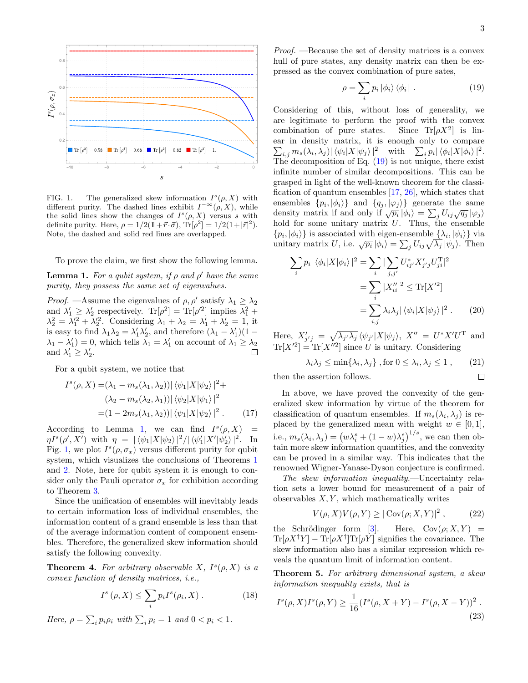<span id="page-2-4"></span> $\Box$ 



<span id="page-2-1"></span>FIG. 1. The generalized skew information  $I^s(\rho, X)$  with different purity. The dashed lines exhibit  $I^{-\infty}(\rho, X)$ , while the solid lines show the changes of  $I^s(\rho, X)$  versus s with definite purity. Here,  $\rho = 1/2(\mathbb{I} + \vec{r} \cdot \vec{\sigma})$ ,  $\text{Tr}[\rho^2] = 1/2(1+|\vec{r}|^2)$ . Note, the dashed and solid red lines are overlapped.

To prove the claim, we first show the following lemma.

<span id="page-2-0"></span>**Lemma 1.** For a qubit system, if  $\rho$  and  $\rho'$  have the same purity, they possess the same set of eigenvalues.

*Proof.* —Assume the eigenvalues of  $\rho$ ,  $\rho'$  satisfy  $\lambda_1 \geq \lambda_2$ and  $\lambda'_1 \geq \lambda'_2$  respectively.  $\text{Tr}[\rho^2] = \text{Tr}[\rho'^2]$  implies  $\lambda_1^2 + \lambda_2^2$  $\lambda_2^2 = \lambda_1^2 + \lambda_2^2$ . Considering  $\lambda_1 + \lambda_2 = \lambda_1^2 + \lambda_2^2 = 1$ , it is easy to find  $\lambda_1 \lambda_2 = \lambda'_1 \lambda'_2$ , and therefore  $(\lambda_1 - \lambda'_1)(1 \lambda_1 - \lambda_1' = 0$ , which tells  $\lambda_1 = \lambda_1'$  on account of  $\lambda_1 \geq \lambda_2$ and  $\lambda'_1 \geq \lambda'_2$ .

For a qubit system, we notice that

$$
I^{s}(\rho, X) = (\lambda_1 - m_s(\lambda_1, \lambda_2)) |\langle \psi_1 | X | \psi_2 \rangle|^2 +
$$
  

$$
(\lambda_2 - m_s(\lambda_2, \lambda_1)) |\langle \psi_2 | X | \psi_1 \rangle|^2
$$
  

$$
= (1 - 2m_s(\lambda_1, \lambda_2)) |\langle \psi_1 | X | \psi_2 \rangle|^2. \tag{17}
$$

According to Lemma [1,](#page-2-0) we can find  $I^s(\rho, X)$  =  $\eta I^{s}(\rho', X')$  with  $\eta = |\langle \psi_1 | X | \psi_2 \rangle|^2 / |\langle \psi'_1 | X' | \psi'_2 \rangle|^2$ . In Fig. [1,](#page-2-1) we plot  $I^s(\rho, \sigma_x)$  versus different purity for qubit system, which visualizes the conclusions of Theorems [1](#page-1-0) and [2.](#page-1-1) Note, here for qubit system it is enough to consider only the Pauli operator  $\sigma_x$  for exhibition according to Theorem [3.](#page-1-2)

Since the unification of ensembles will inevitably leads to certain information loss of individual ensembles, the information content of a grand ensemble is less than that of the average information content of component ensembles. Therefore, the generalized skew information should satisfy the following convexity.

**Theorem 4.** For arbitrary observable X,  $I^s(\rho, X)$  is a convex function of density matrices, i.e.,

$$
I^{s}(\rho, X) \leq \sum_{i} p_{i} I^{s}(\rho_{i}, X) . \qquad (18)
$$

Here,  $\rho = \sum_i p_i \rho_i$  with  $\sum_i p_i = 1$  and  $0 < p_i < 1$ .

Proof. —Because the set of density matrices is a convex hull of pure states, any density matrix can then be expressed as the convex combination of pure sates,

<span id="page-2-2"></span>
$$
\rho = \sum_{i} p_{i} \left| \phi_{i} \right\rangle \left\langle \phi_{i} \right| . \tag{19}
$$

Considering of this, without loss of generality, we are legitimate to perform the proof with the convex combination of pure states. Since  $\text{Tr}[\rho X^2]$  is linear in density matrix, it is enough only to compare  $\sum_{i,j} m_s(\lambda_i, \lambda_j) |\langle \psi_i | X | \psi_j \rangle|^2$  with  $\sum_i p_i |\langle \phi_i | X | \phi_i \rangle|^2$ . The decomposition of Eq.  $(19)$  is not unique, there exist infinite number of similar decompositions. This can be grasped in light of the well-known theorem for the classification of quantum ensembles [\[17,](#page-5-6) [26\]](#page-5-14), which states that ensembles  $\{p_i, |\phi_i\rangle\}$  and  $\{q_j, |\varphi_j\rangle\}$  generate the same density matrix if and only if  $\sqrt{p_i} |\phi_i\rangle = \sum_j U_{ij} \sqrt{q_j} |\phi_j\rangle$ hold for some unitary matrix  $U$ . Thus, the ensemble  $\{p_i, |\phi_i\rangle\}$  is associated with eigen-ensemble  $\{\lambda_i, |\psi_i\rangle\}$  via  $\psi_i, \psi_i$  is associated with eigen-ensemble  $\{\lambda_i, \psi_i\}$  via<br>unitary matrix U, i.e.  $\sqrt{p_i} |\phi_i\rangle = \sum_j U_{ij} \sqrt{\lambda_j} |\psi_j\rangle$ . Then

$$
\sum_{i} p_{i} |\langle \phi_{i} | X | \phi_{i} \rangle|^{2} = \sum_{i} |\sum_{j,j'} U_{ij}^{*} X_{j'j}' U_{ji}^{T}|^{2}
$$

$$
= \sum_{i} |X_{ii}'^{2}|^{2} \leq \text{Tr}[X'^{2}]
$$

$$
= \sum_{i,j} \lambda_{i} \lambda_{j} |\langle \psi_{i} | X | \psi_{j} \rangle|^{2}. \qquad (20)
$$

Here,  $X'_{j'j} = \sqrt{\lambda_{j'}\lambda_j} \langle \psi_{j'} | X | \psi_j \rangle$ ,  $X'' = U^* X' U^T$  and  $Tr[X^{\prime 2}] = Tr[X^{\prime\prime 2}]$  since U is unitary. Considering

$$
\lambda_i \lambda_j \le \min\{\lambda_i, \lambda_j\}, \text{ for } 0 \le \lambda_i, \lambda_j \le 1 ,\qquad (21)
$$

then the assertion follows.

In above, we have proved the convexity of the generalized skew information by virtue of the theorem for classification of quantum ensembles. If  $m_s(\lambda_i, \lambda_j)$  is replaced by the generalized mean with weight  $w \in [0,1]$ , i.e.,  $m_s(\lambda_i, \lambda_j) = (w\lambda_i^s + (1 - w)\lambda_j^s)^{1/s}$ , we can then obtain more skew information quantities, and the convexity can be proved in a similar way. This indicates that the renowned Wigner-Yanase-Dyson conjecture is confirmed.

The skew information inequality.—Uncertainty relation sets a lower bound for measurement of a pair of observables  $X, Y$ , which mathematically writes

<span id="page-2-3"></span>
$$
V(\rho, X)V(\rho, Y) \ge |\text{Cov}(\rho; X, Y)|^2
$$
, (22)

the Schrödinger form [\[3\]](#page-4-4). Here,  $Cov(\rho; X, Y)$  =  $\text{Tr}[\rho X^{\dagger} Y] - \text{Tr}[\rho X^{\dagger}] \text{Tr}[\rho Y]$  signifies the covariance. The skew information also has a similar expression which reveals the quantum limit of information content.

Theorem 5. For arbitrary dimensional system, a skew information inequality exists, that is

$$
I^{s}(\rho, X)I^{s}(\rho, Y) \ge \frac{1}{16}(I^{s}(\rho, X + Y) - I^{s}(\rho, X - Y))^{2}.
$$
\n(23)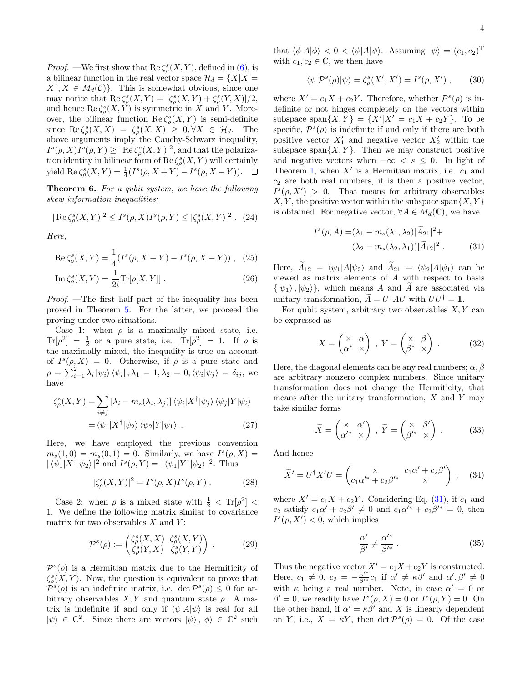*Proof.* —We first show that  $\text{Re }\zeta_\rho^s(X, Y)$ , defined in [\(6\)](#page-1-3), is a bilinear function in the real vector space  $\mathcal{H}_d = \{X | X =$  $X^{\dagger}, X \in M_d(\mathcal{C})\}$ . This is somewhat obvious, since one may notice that  $\operatorname{Re}\zeta_{\rho}^s(X,Y) = [\zeta_{\rho}^s(X,Y) + \zeta_{\rho}^s(Y,X)]/2$ , and hence  $\text{Re }\zeta_{\rho}^{s}(X, Y)$  is symmetric in X and Y. Moreover, the bilinear function  $\text{Re }\zeta_{\rho}^{s}(X,Y)$  is semi-definite since  $\operatorname{Re}\zeta_{\rho}^{s}(X,X) = \zeta_{\rho}^{s}(X,X) \geq 0, \forall X \in \mathcal{H}_{d}$ . The above arguments imply the Cauchy-Schwarz inequality,  $I^s(\rho, X)I^s(\rho, Y) \geq |\operatorname{Re}\zeta_\rho^s(X, Y)|^2$ , and that the polarization identity in bilinear form of Re $\zeta_\rho^s(X,Y)$  will certainly yield  $\text{Re}\,\zeta^s_{\rho}(X,Y) = \frac{1}{4}(I^s(\rho, X+Y) - I^s(\rho, X-Y)).$ 

Theorem 6. For a qubit system, we have the following skew information inequalities:

$$
|\text{Re }\zeta_{\rho}^{s}(X,Y)|^{2} \leq I^{s}(\rho,X)I^{s}(\rho,Y) \leq |\zeta_{\rho}^{s}(X,Y)|^{2}. (24)
$$

Here,

$$
\operatorname{Re}\zeta_{\rho}^{s}(X,Y) = \frac{1}{4}(I^{s}(\rho, X + Y) - I^{s}(\rho, X - Y)), \quad (25)
$$

$$
\operatorname{Im}\zeta_{\rho}^{s}(X,Y) = \frac{1}{2i}\operatorname{Tr}[\rho[X,Y]]\,. \tag{26}
$$

Proof. —The first half part of the inequality has been proved in Theorem [5.](#page-2-3) For the latter, we proceed the proving under two situations.

Case 1: when  $\rho$  is a maximally mixed state, i.e.  $\text{Tr}[\rho^2] = \frac{1}{2}$  or a pure state, i.e.  $\text{Tr}[\rho^2] = 1$ . If  $\rho$  is the maximally mixed, the inequality is true on account of  $I^s(\rho, X) = 0$ . Otherwise, if  $\rho$  is a pure state and  $\rho = \sum_{i=1}^{2} \lambda_i |\psi_i\rangle \langle \psi_i | , \lambda_1 = 1, \lambda_2 = 0, \langle \psi_i | \psi_j \rangle = \delta_{ij}$ , we have

$$
\zeta_{\rho}^{s}(X,Y) = \sum_{i \neq j} \left[ \lambda_{i} - m_{s}(\lambda_{i}, \lambda_{j}) \right] \langle \psi_{i} | X^{\dagger} | \psi_{j} \rangle \langle \psi_{j} | Y | \psi_{i} \rangle
$$

$$
= \langle \psi_{1} | X^{\dagger} | \psi_{2} \rangle \langle \psi_{2} | Y | \psi_{1} \rangle . \tag{27}
$$

Here, we have employed the previous convention  $m_s(1,0) = m_s(0,1) = 0$ . Similarly, we have  $I^s(\rho, X) =$  $|\langle \psi_1 | X^{\dagger} | \psi_2 \rangle|^2$  and  $I^s(\rho, Y) = | \langle \psi_1 | Y^{\dagger} | \psi_2 \rangle|^2$ . Thus

$$
|\zeta_{\rho}^{s}(X,Y)|^{2} = I^{s}(\rho,X)I^{s}(\rho,Y).
$$
 (28)

Case 2: when  $\rho$  is a mixed state with  $\frac{1}{2}$  < Tr[ $\rho^2$ ] < 1. We define the following matrix similar to covariance matrix for two observables  $X$  and  $Y$ :

$$
\mathcal{P}^s(\rho) := \begin{pmatrix} \zeta^s_{\rho}(X, X) & \zeta^s_{\rho}(X, Y) \\ \zeta^s_{\rho}(Y, X) & \zeta^s_{\rho}(Y, Y) \end{pmatrix} . \tag{29}
$$

 $\mathcal{P}^{s}(\rho)$  is a Hermitian matrix due to the Hermiticity of  $\zeta_{\rho}^{s}(X, Y)$ . Now, the question is equivalent to prove that  $\dot{\mathcal{P}}^{s}(\rho)$  is an indefinite matrix, i.e. det  $\mathcal{P}^{s}(\rho) \leq 0$  for arbitrary observables  $X, Y$  and quantum state  $\rho$ . A matrix is indefinite if and only if  $\langle \psi | A | \psi \rangle$  is real for all  $|\psi\rangle \in \mathbb{C}^2$ . Since there are vectors  $|\psi\rangle, |\phi\rangle \in \mathbb{C}^2$  such

that  $\langle \phi | A | \phi \rangle < 0 < \langle \psi | A | \psi \rangle$ . Assuming  $| \psi \rangle = (c_1, c_2)^T$ with  $c_1, c_2 \in \mathbb{C}$ , we then have

$$
\langle \psi | \mathcal{P}^s(\rho) | \psi \rangle = \zeta^s_{\rho}(X', X') = I^s(\rho, X') , \qquad (30)
$$

where  $X' = c_1 X + c_2 Y$ . Therefore, whether  $\mathcal{P}^s(\rho)$  is indefinite or not hinges completely on the vectors within subspace span $\{X,Y\} = \{X'|X' = c_1X + c_2Y\}$ . To be specific,  $\mathcal{P}^s(\rho)$  is indefinite if and only if there are both positive vector  $X'_1$  and negative vector  $X'_2$  within the subspace span $\{X, Y\}$ . Then we may construct positive and negative vectors when  $-\infty < s \leq 0$ . In light of Theorem [1,](#page-1-0) when  $X'$  is a Hermitian matrix, i.e.  $c_1$  and  $c_2$  are both real numbers, it is then a positive vector,  $I^s(\rho, X') > 0$ . That means for arbitrary observables  $X, Y$ , the positive vector within the subspace span $\{X, Y\}$ is obtained. For negative vector,  $\forall A \in M_d(\mathbb{C})$ , we have

<span id="page-3-0"></span>
$$
I^{s}(\rho, A) = (\lambda_1 - m_s(\lambda_1, \lambda_2)|\widetilde{A}_{21}|^2 +
$$
  

$$
(\lambda_2 - m_s(\lambda_2, \lambda_1))|\widetilde{A}_{12}|^2.
$$
 (31)

Here,  $\widetilde{A}_{12} = \langle \psi_1 | A | \psi_2 \rangle$  and  $\widetilde{A}_{21} = \langle \psi_2 | A | \psi_1 \rangle$  can be viewed as matrix elements of A with respect to basis  $\{|\psi_1\rangle, |\psi_2\rangle\}$ , which means A and A are associated via unitary transformation,  $\widetilde{A} = U^{\dagger} A U$  with  $UU^{\dagger} = 1$ .

For qubit system, arbitrary two observables  $X, Y$  can be expressed as

$$
X = \begin{pmatrix} \times & \alpha \\ \alpha^* & \times \end{pmatrix}, Y = \begin{pmatrix} \times & \beta \\ \beta^* & \times \end{pmatrix}.
$$
 (32)

Here, the diagonal elements can be any real numbers;  $\alpha$ ,  $\beta$ are arbitrary nonzero complex numbers. Since unitary transformation does not change the Hermiticity, that means after the unitary transformation,  $X$  and  $Y$  may take similar forms

$$
\widetilde{X} = \begin{pmatrix} \times & \alpha' \\ \alpha'^* & \times \end{pmatrix} , \ \widetilde{Y} = \begin{pmatrix} \times & \beta' \\ \beta'^* & \times \end{pmatrix} . \tag{33}
$$

And hence

$$
\widetilde{X}' = U^{\dagger} X' U = \begin{pmatrix} \times & c_1 \alpha' + c_2 \beta' \\ c_1 \alpha'^* + c_2 \beta'^* & \times \end{pmatrix} , \quad (34)
$$

where  $X' = c_1X + c_2Y$ . Considering Eq. [\(31\)](#page-3-0), if  $c_1$  and  $c_2$  satisfy  $c_1\alpha' + c_2\beta' \neq 0$  and  $c_1\alpha'^* + c_2\beta'^* = 0$ , then  $I^s(\rho, X') < 0$ , which implies

$$
\frac{\alpha'}{\beta'} \neq \frac{\alpha'^*}{\beta'^*} \,. \tag{35}
$$

Thus the negative vector  $X' = c_1X + c_2Y$  is constructed. Here,  $c_1 \neq 0$ ,  $c_2 = -\frac{\alpha'^*}{\beta'^*} c_1$  if  $\alpha' \neq \kappa \beta'$  and  $\alpha', \beta' \neq 0$ with  $\kappa$  being a real number. Note, in case  $\alpha' = 0$  or  $\beta' = 0$ , we readily have  $I^s(\rho, X) = 0$  or  $I^s(\rho, Y) = 0$ . On the other hand, if  $\alpha' = \kappa \beta'$  and X is linearly dependent on Y, i.e.,  $X = \kappa Y$ , then  $\det \mathcal{P}^s(\rho) = 0$ . Of the case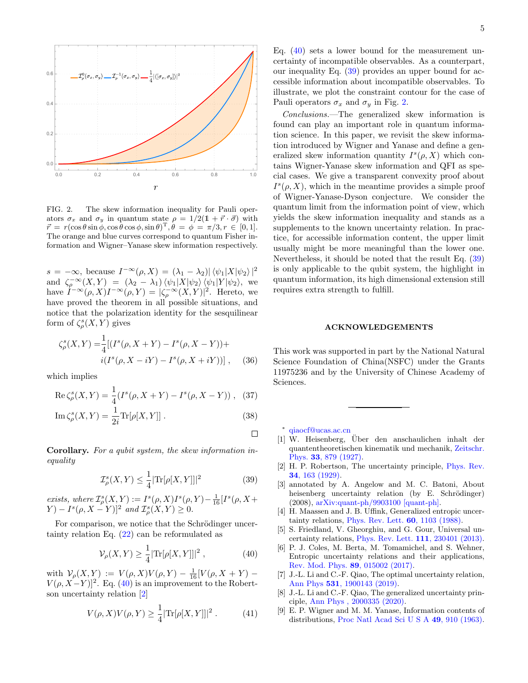

<span id="page-4-8"></span>FIG. 2. The skew information inequality for Pauli operators  $\sigma_x$  and  $\sigma_y$  in quantum state  $\rho = 1/2(1 + \vec{r} \cdot \vec{\sigma})$  with  $\vec{r} = r(\cos\theta\sin\phi, \cos\theta\cos\phi, \sin\theta)^{\mathrm{T}}, \theta = \phi = \pi/3, r \in [0, 1].$ The orange and blue curves correspond to quantum Fisher information and Wigner–Yanase skew information respectively.

 $s = -\infty$ , because  $I^{-\infty}(\rho, X) = (\lambda_1 - \lambda_2) |\langle \psi_1 | X | \psi_2 \rangle|^2$ and  $\zeta_{\rho}^{-\infty}(X,Y) = (\lambda_2 - \lambda_1) \langle \psi_1 | X | \psi_2 \rangle \langle \psi_1 | Y | \psi_2 \rangle$ , we have  $I^{-\infty}(\rho, X)I^{-\infty}(\rho, Y) = |\zeta_{\rho}^{-\infty}(X, Y)|^2$ . Hereto, we have proved the theorem in all possible situations, and notice that the polarization identity for the sesquilinear form of  $\zeta_\rho^s(X,Y)$  gives

$$
\zeta_{\rho}^{s}(X,Y) = \frac{1}{4} [(I^{s}(\rho, X + Y) - I^{s}(\rho, X - Y)) + i(I^{s}(\rho, X - iY) - I^{s}(\rho, X + iY))], \quad (36)
$$

which implies

Re 
$$
\zeta^s_\rho(X, Y) = \frac{1}{4}(I^s(\rho, X + Y) - I^s(\rho, X - Y)),
$$
 (37)

$$
\operatorname{Im}\zeta_{\rho}^{s}(X,Y) = \frac{1}{2i}\operatorname{Tr}[\rho[X,Y]]. \tag{38}
$$

Corollary. For a qubit system, the skew information inequality

$$
\mathcal{I}^s_{\rho}(X,Y) \le \frac{1}{4} |\text{Tr}[\rho[X,Y]]|^2 \tag{39}
$$

exists, where  $\mathcal{I}^s_{\rho}(X,Y) := I^s(\rho,X)I^s(\rho,Y) - \frac{1}{16}[I^s(\rho,X +$  $(Y) - I^{s}(\rho, X - Y)]^{2}$  and  $\mathcal{I}_{\rho}^{s}(X, Y) \geq 0$ .

For comparison, we notice that the Schrödinger uncertainty relation Eq. [\(22\)](#page-2-4) can be reformulated as

$$
\mathcal{V}_{\rho}(X,Y) \ge \frac{1}{4} |\text{Tr}[\rho[X,Y]|^2 , \qquad (40)
$$

with  $\mathcal{V}_{\rho}(X,Y) := V(\rho,X)V(\rho,Y) - \frac{1}{16}[V(\rho,X+Y) V(\rho, X-Y)$ <sup>2</sup>. Eq. [\(40\)](#page-4-5) is an improvement to the Robertson uncertainty relation [\[2\]](#page-4-6)

$$
V(\rho, X)V(\rho, Y) \ge \frac{1}{4} |\text{Tr}[\rho[X, Y]]|^2.
$$
 (41)

Eq.  $(40)$  sets a lower bound for the measurement uncertainty of incompatible observables. As a counterpart, our inequality Eq. [\(39\)](#page-4-7) provides an upper bound for accessible information about incompatible observables. To illustrate, we plot the constraint contour for the case of Pauli operators  $\sigma_x$  and  $\sigma_y$  in Fig. [2.](#page-4-8)

Conclusions.—The generalized skew information is found can play an important role in quantum information science. In this paper, we revisit the skew information introduced by Wigner and Yanase and define a generalized skew information quantity  $I^s(\rho, X)$  which contains Wigner-Yanase skew information and QFI as special cases. We give a transparent convexity proof about  $I^s(\rho, X)$ , which in the meantime provides a simple proof of Wigner-Yanase-Dyson conjecture. We consider the quantum limit from the information point of view, which yields the skew information inequality and stands as a supplements to the known uncertainty relation. In practice, for accessible information content, the upper limit usually might be more meaningful than the lower one. Nevertheless, it should be noted that the result Eq. [\(39\)](#page-4-7) is only applicable to the qubit system, the highlight in quantum information, its high dimensional extension still requires extra strength to fulfill.

## ACKNOWLEDGEMENTS

This work was supported in part by the National Natural Science Foundation of China(NSFC) under the Grants 11975236 and by the University of Chinese Academy of Sciences.

<span id="page-4-0"></span>∗ [qiaocf@ucas.ac.cn](mailto:qiaocf@ucas.ac.cn)

 $\Box$ 

- <span id="page-4-1"></span> $[1]$  W. Heisenberg, Über den anschaulichen inhalt der quantentheoretischen kinematik und mechanik, [Zeitschr.](https://doi.org/10.1007/978-3-642-61659-4_30) Phys. 33[, 879 \(1927\).](https://doi.org/10.1007/978-3-642-61659-4_30)
- <span id="page-4-7"></span><span id="page-4-6"></span>[2] H. P. Robertson, The uncertainty principle, [Phys. Rev.](https://doi.org/10.1103/PhysRev.34.163) 34[, 163 \(1929\).](https://doi.org/10.1103/PhysRev.34.163)
- <span id="page-4-4"></span>[3] annotated by A. Angelow and M. C. Batoni, About heisenberg uncertainty relation (by E. Schrödinger) (2008), [arXiv:quant-ph/9903100 \[quant-ph\].](https://arxiv.org/abs/quant-ph/9903100)
- [4] H. Maassen and J. B. Uffink, Generalized entropic uncertainty relations, [Phys. Rev. Lett.](https://doi.org/10.1103/PhysRevLett.60.1103) 60, 1103 (1988).
- [5] S. Friedland, V. Gheorghiu, and G. Gour, Universal uncertainty relations, [Phys. Rev. Lett.](https://doi.org/10.1103/PhysRevLett.111.230401) 111, 230401 (2013).
- <span id="page-4-5"></span>[6] P. J. Coles, M. Berta, M. Tomamichel, and S. Wehner, Entropic uncertainty relations and their applications, [Rev. Mod. Phys.](https://doi.org/10.1103/RevModPhys.89.015002) 89, 015002 (2017).
- [7] J.-L. Li and C.-F. Qiao, The optimal uncertainty relation, Ann Phys 531[, 1900143 \(2019\).](https://doi.org/10.1002/andp.201900143)
- <span id="page-4-2"></span>[8] J.-L. Li and C.-F. Qiao, The generalized uncertainty principle, [Ann Phys , 2000335 \(2020\).](https://doi.org/10.1002/andp.202000335)
- <span id="page-4-3"></span>[9] E. P. Wigner and M. M. Yanase, Information contents of distributions, [Proc Natl Acad Sci U S A](https://doi.org/10.1073/pnas.49.6.910) 49, 910 (1963).